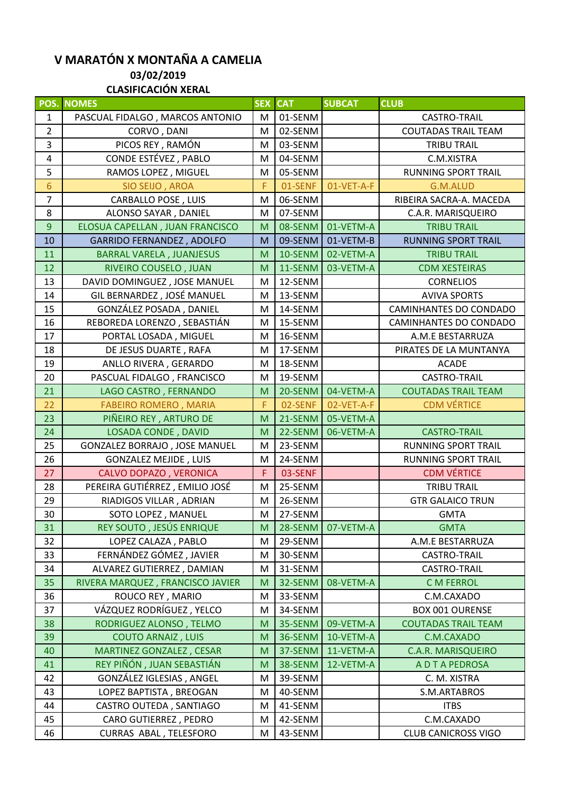## **V MARATÓN X MONTAÑA A CAMELIA 03/02/2019 CLASIFICACIÓN XERAL**

| POS.           | <b>NOMES</b>                     | <b>SEX</b> | <b>CAT</b> | <b>SUBCAT</b> | <b>CLUB</b>                   |
|----------------|----------------------------------|------------|------------|---------------|-------------------------------|
| 1              | PASCUAL FIDALGO, MARCOS ANTONIO  | M          | 01-SENM    |               | <b>CASTRO-TRAIL</b>           |
| $\overline{2}$ | CORVO, DANI                      | M          | 02-SENM    |               | <b>COUTADAS TRAIL TEAM</b>    |
| 3              | PICOS REY, RAMÓN                 | M          | 03-SENM    |               | <b>TRIBU TRAIL</b>            |
| 4              | CONDE ESTÉVEZ, PABLO             | M          | 04-SENM    |               | C.M.XISTRA                    |
| 5              | RAMOS LOPEZ, MIGUEL              | M          | 05-SENM    |               | <b>RUNNING SPORT TRAIL</b>    |
| 6              | SIO SEIJO, AROA                  | F          | 01-SENF    | 01-VET-A-F    | G.M.ALUD                      |
| $\overline{7}$ | <b>CARBALLO POSE, LUIS</b>       | M          | 06-SENM    |               | RIBEIRA SACRA-A. MACEDA       |
| 8              | ALONSO SAYAR, DANIEL             | M          | 07-SENM    |               | C.A.R. MARISQUEIRO            |
| $9\,$          | ELOSUA CAPELLAN, JUAN FRANCISCO  | M          | 08-SENM    | 01-VETM-A     | <b>TRIBU TRAIL</b>            |
| 10             | <b>GARRIDO FERNANDEZ, ADOLFO</b> | M          | 09-SENM    | 01-VETM-B     | <b>RUNNING SPORT TRAIL</b>    |
| 11             | <b>BARRAL VARELA, JUANJESUS</b>  | M          | 10-SENM    | 02-VETM-A     | <b>TRIBU TRAIL</b>            |
| 12             | RIVEIRO COUSELO, JUAN            | M          | 11-SENM    | 03-VETM-A     | <b>CDM XESTEIRAS</b>          |
| 13             | DAVID DOMINGUEZ, JOSE MANUEL     | M          | 12-SENM    |               | <b>CORNELIOS</b>              |
| 14             | GIL BERNARDEZ, JOSÉ MANUEL       | M          | 13-SENM    |               | <b>AVIVA SPORTS</b>           |
| 15             | GONZÁLEZ POSADA, DANIEL          | M          | 14-SENM    |               | <b>CAMINHANTES DO CONDADO</b> |
| 16             | REBOREDA LORENZO, SEBASTIÁN      | M          | 15-SENM    |               | CAMINHANTES DO CONDADO        |
| 17             | PORTAL LOSADA, MIGUEL            | M          | 16-SENM    |               | A.M.E BESTARRUZA              |
| 18             | DE JESUS DUARTE, RAFA            | M          | 17-SENM    |               | PIRATES DE LA MUNTANYA        |
| 19             | ANLLO RIVERA, GERARDO            | M          | 18-SENM    |               | <b>ACADE</b>                  |
| 20             | PASCUAL FIDALGO, FRANCISCO       | M          | 19-SENM    |               | <b>CASTRO-TRAIL</b>           |
| 21             | LAGO CASTRO, FERNANDO            | M          | 20-SENM    | 04-VETM-A     | <b>COUTADAS TRAIL TEAM</b>    |
| 22             | <b>FABEIRO ROMERO, MARIA</b>     | F          | 02-SENF    | 02-VET-A-F    | <b>CDM VÉRTICE</b>            |
| 23             | PIÑEIRO REY, ARTURO DE           | M          | 21-SENM    | 05-VETM-A     |                               |
| 24             | LOSADA CONDE, DAVID              | M          | 22-SENM    | 06-VETM-A     | <b>CASTRO-TRAIL</b>           |
| 25             | GONZALEZ BORRAJO, JOSE MANUEL    | M          | 23-SENM    |               | <b>RUNNING SPORT TRAIL</b>    |
| 26             | <b>GONZALEZ MEJIDE, LUIS</b>     | M          | 24-SENM    |               | <b>RUNNING SPORT TRAIL</b>    |
| 27             | CALVO DOPAZO, VERONICA           | F          | 03-SENF    |               | <b>CDM VÉRTICE</b>            |
| 28             | PEREIRA GUTIÉRREZ, EMILIO JOSÉ   | M          | 25-SENM    |               | <b>TRIBU TRAIL</b>            |
| 29             | RIADIGOS VILLAR, ADRIAN          | M          | 26-SENM    |               | <b>GTR GALAICO TRUN</b>       |
| 30             | SOTO LOPEZ, MANUEL               | M          | 27-SENM    |               | <b>GMTA</b>                   |
| 31             | REY SOUTO, JESÚS ENRIQUE         | M          | 28-SENM    | 07-VETM-A     | <b>GMTA</b>                   |
| 32             | LOPEZ CALAZA, PABLO              | M          | 29-SENM    |               | A.M.E BESTARRUZA              |
| 33             | FERNÁNDEZ GÓMEZ, JAVIER          | M          | 30-SENM    |               | <b>CASTRO-TRAIL</b>           |
| 34             | ALVAREZ GUTIERREZ, DAMIAN        | M          | 31-SENM    |               | <b>CASTRO-TRAIL</b>           |
| 35             | RIVERA MARQUEZ, FRANCISCO JAVIER | M          | 32-SENM    | 08-VETM-A     | <b>C M FERROL</b>             |
| 36             | ROUCO REY, MARIO                 | M          | 33-SENM    |               | C.M.CAXADO                    |
| 37             | VÁZQUEZ RODRÍGUEZ, YELCO         | M          | 34-SENM    |               | <b>BOX 001 OURENSE</b>        |
| 38             | RODRIGUEZ ALONSO, TELMO          | M          | 35-SENM    | 09-VETM-A     | <b>COUTADAS TRAIL TEAM</b>    |
| 39             | <b>COUTO ARNAIZ, LUIS</b>        | M          | 36-SENM    | 10-VETM-A     | C.M.CAXADO                    |
| 40             | MARTINEZ GONZALEZ, CESAR         | M          | 37-SENM    | 11-VETM-A     | <b>C.A.R. MARISQUEIRO</b>     |
| 41             | REY PIÑÓN, JUAN SEBASTIÁN        | M          | 38-SENM    | 12-VETM-A     | A D T A PEDROSA               |
| 42             | GONZÁLEZ IGLESIAS, ANGEL         | M          | 39-SENM    |               | C. M. XISTRA                  |
| 43             | LOPEZ BAPTISTA, BREOGAN          | M          | 40-SENM    |               | S.M.ARTABROS                  |
| 44             | CASTRO OUTEDA, SANTIAGO          | M          | 41-SENM    |               | <b>ITBS</b>                   |
| 45             | CARO GUTIERREZ, PEDRO            | м          | 42-SENM    |               | C.M.CAXADO                    |
| 46             | CURRAS ABAL, TELESFORO           | M          | 43-SENM    |               | <b>CLUB CANICROSS VIGO</b>    |